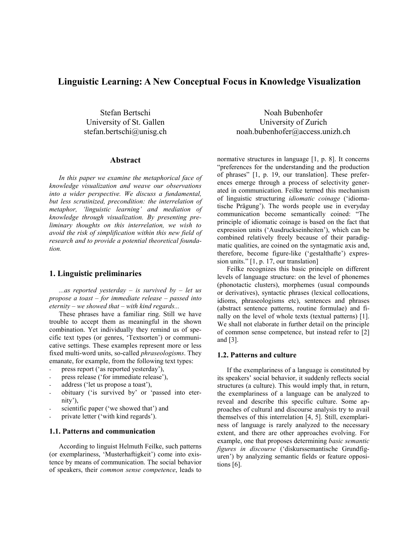# **Linguistic Learning: A New Conceptual Focus in Knowledge Visualization**

Stefan Bertschi University of St. Gallen stefan.bertschi@unisg.ch

#### **Abstract**

*In this paper we examine the metaphorical face of knowledge visualization and weave our observations into a wider perspective. We discuss a fundamental, but less scrutinized, precondition: the interrelation of metaphor, 'linguistic learning' and mediation of knowledge through visualization. By presenting preliminary thoughts on this interrelation, we wish to avoid the risk of simplification within this new field of research and to provide a potential theoretical foundation.* 

# **1. Linguistic preliminaries**

*...as reported yesterday – is survived by – let us propose a toast – for immediate release – passed into eternity – we showed that – with kind regards...* 

These phrases have a familiar ring. Still we have trouble to accept them as meaningful in the shown combination. Yet individually they remind us of specific text types (or genres, 'Textsorten') or communicative settings. These examples represent more or less fixed multi-word units, so-called *phraseologisms*. They emanate, for example, from the following text types:

- press report ('as reported yesterday'),
- press release ('for immediate release'),
- address ('let us propose a toast'),
- obituary ('is survived by' or 'passed into eternity'),
- scientific paper ('we showed that') and
- private letter ('with kind regards').

### **1.1. Patterns and communication**

According to linguist Helmuth Feilke, such patterns (or exemplariness, 'Musterhaftigkeit') come into existence by means of communication. The social behavior of speakers, their *common sense competence*, leads to

Noah Bubenhofer University of Zurich noah.bubenhofer@access.unizh.ch

normative structures in language [1, p. 8]. It concerns "preferences for the understanding and the production of phrases" [1, p. 19, our translation]. These preferences emerge through a process of selectivity generated in communication. Feilke termed this mechanism of linguistic structuring *idiomatic coinage* ('idiomatische Prägung'). The words people use in everyday communication become semantically coined: "The principle of idiomatic coinage is based on the fact that expression units ('Ausdruckseinheiten'), which can be combined relatively freely because of their paradigmatic qualities, are coined on the syntagmatic axis and, therefore, become figure-like ('gestalthafte') expression units." [1, p. 17, our translation]

Feilke recognizes this basic principle on different levels of language structure: on the level of phonemes (phonotactic clusters), morphemes (usual compounds or derivatives), syntactic phrases (lexical collocations, idioms, phraseologisms etc), sentences and phrases (abstract sentence patterns, routine formulae) and finally on the level of whole texts (textual patterns) [1]. We shall not elaborate in further detail on the principle of common sense competence, but instead refer to [2] and [3].

#### **1.2. Patterns and culture**

If the exemplariness of a language is constituted by its speakers' social behavior, it suddenly reflects social structures (a culture). This would imply that, in return, the exemplariness of a language can be analyzed to reveal and describe this specific culture. Some approaches of cultural and discourse analysis try to avail themselves of this interrelation [4, 5]. Still, exemplariness of language is rarely analyzed to the necessary extent, and there are other approaches evolving. For example, one that proposes determining *basic semantic figures in discourse* ('diskurssemantische Grundfiguren') by analyzing semantic fields or feature oppositions [6].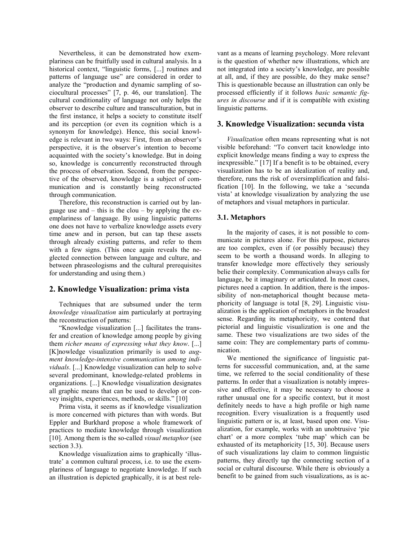Nevertheless, it can be demonstrated how exemplariness can be fruitfully used in cultural analysis. In a historical context, "linguistic forms, [...] routines and patterns of language use" are considered in order to analyze the "production and dynamic sampling of sociocultural processes" [7, p. 46, our translation]. The cultural conditionality of language not only helps the observer to describe culture and transculturation, but in the first instance, it helps a society to constitute itself and its perception (or even its cognition which is a synonym for knowledge). Hence, this social knowledge is relevant in two ways: First, from an observer's perspective, it is the observer's intention to become acquainted with the society's knowledge. But in doing so, knowledge is concurrently reconstructed through the process of observation. Second, from the perspective of the observed, knowledge is a subject of communication and is constantly being reconstructed through communication.

Therefore, this reconstruction is carried out by language use and  $-$  this is the clou  $-$  by applying the exemplariness of language. By using linguistic patterns one does not have to verbalize knowledge assets every time anew and in person, but can tap these assets through already existing patterns, and refer to them with a few signs. (This once again reveals the neglected connection between language and culture, and between phraseologisms and the cultural prerequisites for understanding and using them.)

# **2. Knowledge Visualization: prima vista**

Techniques that are subsumed under the term *knowledge visualization* aim particularly at portraying the reconstruction of patterns:

"Knowledge visualization [...] facilitates the transfer and creation of knowledge among people by giving them *richer means of expressing what they know*. [...] [K]nowledge visualization primarily is used to *augment knowledge-intensive communication among individuals*. [...] Knowledge visualization can help to solve several predominant, knowledge-related problems in organizations. [...] Knowledge visualization designates all graphic means that can be used to develop or convey insights, experiences, methods, or skills." [10]

Prima vista, it seems as if knowledge visualization is more concerned with pictures than with words. But Eppler and Burkhard propose a whole framework of practices to mediate knowledge through visualization [10]. Among them is the so-called *visual metaphor* (see section 3.3).

Knowledge visualization aims to graphically 'illustrate' a common cultural process, i.e. to use the exemplariness of language to negotiate knowledge. If such an illustration is depicted graphically, it is at best rele-

vant as a means of learning psychology. More relevant is the question of whether new illustrations, which are not integrated into a society's knowledge, are possible at all, and, if they are possible, do they make sense? This is questionable because an illustration can only be processed efficiently if it follows *basic semantic figures in discourse* and if it is compatible with existing linguistic patterns.

# **3. Knowledge Visualization: secunda vista**

*Visualization* often means representing what is not visible beforehand: "To convert tacit knowledge into explicit knowledge means finding a way to express the inexpressible." [17] If a benefit is to be obtained, every visualization has to be an idealization of reality and, therefore, runs the risk of oversimplification and falsification [10]. In the following, we take a 'secunda vista' at knowledge visualization by analyzing the use of metaphors and visual metaphors in particular.

# **3.1. Metaphors**

In the majority of cases, it is not possible to communicate in pictures alone. For this purpose, pictures are too complex, even if (or possibly because) they seem to be worth a thousand words. In alleging to transfer knowledge more effectively they seriously belie their complexity. Communication always calls for language, be it imaginary or articulated. In most cases, pictures need a caption. In addition, there is the impossibility of non-metaphorical thought because metaphoricity of language is total [8, 29]. Linguistic visualization is the application of metaphors in the broadest sense. Regarding its metaphoricity, we contend that pictorial and linguistic visualization is one and the same. These two visualizations are two sides of the same coin: They are complementary parts of communication.

We mentioned the significance of linguistic patterns for successful communication, and, at the same time, we referred to the social conditionality of these patterns. In order that a visualization is notably impressive and effective, it may be necessary to choose a rather unusual one for a specific context, but it most definitely needs to have a high profile or high name recognition. Every visualization is a frequently used linguistic pattern or is, at least, based upon one. Visualization, for example, works with an unobtrusive 'pie chart' or a more complex 'tube map' which can be exhausted of its metaphoricity [15, 30]. Because users of such visualizations lay claim to common linguistic patterns, they directly tap the connecting section of a social or cultural discourse. While there is obviously a benefit to be gained from such visualizations, as is ac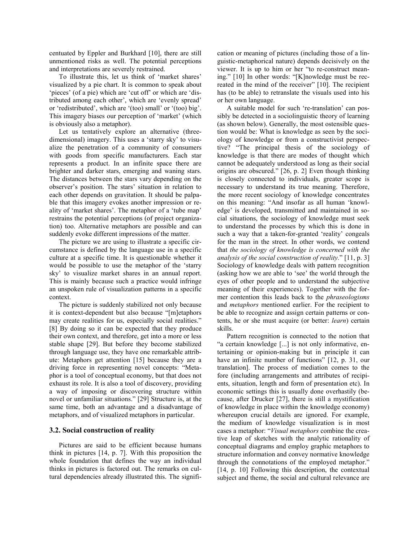centuated by Eppler and Burkhard [10], there are still unmentioned risks as well. The potential perceptions and interpretations are severely restrained.

To illustrate this, let us think of 'market shares' visualized by a pie chart. It is common to speak about 'pieces' (of a pie) which are 'cut off' or which are 'distributed among each other', which are 'evenly spread' or 'redistributed', which are '(too) small' or '(too) big'. This imagery biases our perception of 'market' (which is obviously also a metaphor).

Let us tentatively explore an alternative (threedimensional) imagery. This uses a 'starry sky' to visualize the penetration of a community of consumers with goods from specific manufacturers. Each star represents a product. In an infinite space there are brighter and darker stars, emerging and waning stars. The distances between the stars vary depending on the observer's position. The stars' situation in relation to each other depends on gravitation. It should be palpable that this imagery evokes another impression or reality of 'market shares'. The metaphor of a 'tube map' restrains the potential perceptions (of project organization) too. Alternative metaphors are possible and can suddenly evoke different impressions of the matter.

The picture we are using to illustrate a specific circumstance is defined by the language use in a specific culture at a specific time. It is questionable whether it would be possible to use the metaphor of the 'starry sky' to visualize market shares in an annual report. This is mainly because such a practice would infringe an unspoken rule of visualization patterns in a specific context.

The picture is suddenly stabilized not only because it is context-dependent but also because "[m]etaphors may create realities for us, especially social realities." [8] By doing so it can be expected that they produce their own context, and therefore, get into a more or less stable shape [29]. But before they become stabilized through language use, they have one remarkable attribute: Metaphors get attention [15] because they are a driving force in representing novel concepts: "Metaphor is a tool of conceptual economy, but that does not exhaust its role. It is also a tool of discovery, providing a way of imposing or discovering structure within novel or unfamiliar situations." [29] Structure is, at the same time, both an advantage and a disadvantage of metaphors, and of visualized metaphors in particular.

#### **3.2. Social construction of reality**

Pictures are said to be efficient because humans think in pictures [14, p. 7]. With this proposition the whole foundation that defines the way an individual thinks in pictures is factored out. The remarks on cultural dependencies already illustrated this. The signifi-

cation or meaning of pictures (including those of a linguistic-metaphorical nature) depends decisively on the viewer. It is up to him or her "to re-construct meaning." [10] In other words: "[K]nowledge must be recreated in the mind of the receiver" [10]. The recipient has (to be able) to retranslate the visuals used into his or her own language.

A suitable model for such 're-translation' can possibly be detected in a sociolinguistic theory of learning (as shown below). Generally, the most ostensible question would be: What is knowledge as seen by the sociology of knowledge or from a constructivist perspective? "The principal thesis of the sociology of knowledge is that there are modes of thought which cannot be adequately understood as long as their social origins are obscured." [26, p. 2] Even though thinking is closely connected to individuals, greater scope is necessary to understand its true meaning. Therefore, the more recent sociology of knowledge concentrates on this meaning: "And insofar as all human 'knowledge' is developed, transmitted and maintained in social situations, the sociology of knowledge must seek to understand the processes by which this is done in such a way that a taken-for-granted 'reality' congeals for the man in the street. In other words, we contend that *the sociology of knowledge is concerned with the analysis of the social construction of reality.*" [11, p. 3] Sociology of knowledge deals with pattern recognition (asking how we are able to 'see' the world through the eyes of other people and to understand the subjective meaning of their experiences). Together with the former contention this leads back to the *phraseologisms* and *metaphors* mentioned earlier. For the recipient to be able to recognize and assign certain patterns or contents, he or she must acquire (or better: *learn*) certain skills.

Pattern recognition is connected to the notion that "a certain knowledge [...] is not only informative, entertaining or opinion-making but in principle it can have an infinite number of functions" [12, p. 31, our translation]. The process of mediation comes to the fore (including arrangements and attributes of recipients, situation, length and form of presentation etc). In economic settings this is usually done overhastily (because, after Drucker [27], there is still a mystification of knowledge in place within the knowledge economy) whereupon crucial details are ignored. For example, the medium of knowledge visualization is in most cases a metaphor: "*Visual metaphors* combine the creative leap of sketches with the analytic rationality of conceptual diagrams and employ graphic metaphors to structure information and convey normative knowledge through the connotations of the employed metaphor." [14, p. 10] Following this description, the contextual subject and theme, the social and cultural relevance are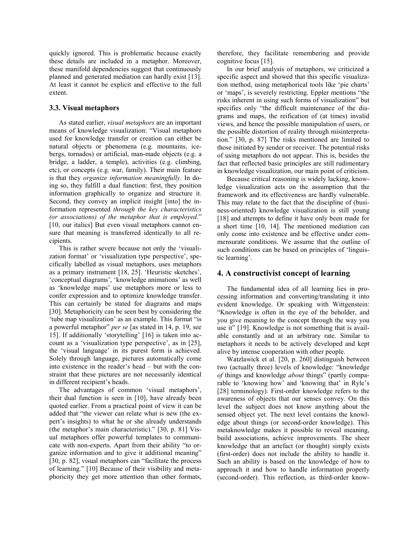quickly ignored. This is problematic because exactly these details are included in a metaphor. Moreover, these manifold dependencies suggest that continuously planned and generated mediation can hardly exist [13]. At least it cannot be explicit and effective to the full extent.

# **3.3. Visual metaphors**

As stated earlier, *visual metaphors* are an important means of knowledge visualization: "Visual metaphors used for knowledge transfer or creation can either be natural objects or phenomena (e.g. mountains, icebergs, tornados) or artificial, man-made objects (e.g. a bridge, a ladder, a temple), activities (e.g. climbing, etc), or concepts (e.g. war, family). Their main feature is that they *organize information meaningfully*. In doing so, they fulfill a dual function: first, they position information graphically to organize and structure it. Second, they convey an implicit insight [into] the information represented *through the key characteristics (or associations) of the metaphor that is employed*." [10, our italics] But even visual metaphors cannot ensure that meaning is transferred identically to all recipients.

This is rather severe because not only the 'visualization format' or 'visualization type perspective', specifically labelled as visual metaphors, uses metaphors as a primary instrument [18, 25]. 'Heuristic sketches', 'conceptual diagrams', 'knowledge animations' as well as 'knowledge maps' use metaphors more or less to confer expression and to optimize knowledge transfer. This can certainly be stated for diagrams and maps [30]. Metaphoricity can be seen best by considering the 'tube map visualization' as an example. This format "is a powerful metaphor" *per se* [as stated in 14, p. 19, see 15]. If additionally 'storytelling' [16] is taken into account as a 'visualization type perspective', as in [25], the 'visual language' in its purest form is achieved. Solely through language, pictures automatically come into existence in the reader's head – but with the constraint that these pictures are not necessarily identical in different recipient's heads.

The advantages of common 'visual metaphors', their dual function is seen in [10], have already been quoted earlier. From a practical point of view it can be added that "the viewer can relate what is new (the expert's insights) to what he or she already understands (the metaphor's main characteristic)." [30, p. 81] Visual metaphors offer powerful templates to communicate with non-experts. Apart from their ability "to organize information and to give it additional meaning" [30, p. 82], visual metaphors can "facilitate the process of learning." [10] Because of their visibility and metaphoricity they get more attention than other formats,

therefore, they facilitate remembering and provide cognitive focus [15].

In our brief analysis of metaphors, we criticized a specific aspect and showed that this specific visualization method, using metaphorical tools like 'pie charts' or 'maps', is severely restricting. Eppler mentions "the risks inherent in using such forms of visualization" but specifies only "the difficult maintenance of the diagrams and maps, the reification of (at times) invalid views, and hence the possible manipulation of users, or the possible distortion of reality through misinterpretation." [30, p. 87] The risks mentioned are limited to those initiated by sender or receiver. The potential risks of using metaphors do not appear. This is, besides the fact that reflected basic principles are still rudimentary in knowledge visualization, our main point of criticism.

Because critical reasoning is widely lacking, knowledge visualization acts on the assumption that the framework and its effectiveness are hardly vulnerable. This may relate to the fact that the discipline of (business-oriented) knowledge visualization is still young [18] and attempts to define it have only been made for a short time [10, 14]. The mentioned mediation can only come into existence and be effective under commensurate conditions. We assume that the outline of such conditions can be based on principles of 'linguistic learning'.

# **4. A constructivist concept of learning**

The fundamental idea of all learning lies in processing information and converting/translating it into evident knowledge. Or speaking with Wittgenstein: "Knowledge is often in the eye of the beholder, and you give meaning to the concept through the way you use it" [19]. Knowledge is not something that is available constantly and at an arbitrary rate. Similar to metaphors it needs to be actively developed and kept alive by intense cooperation with other people.

Watzlawick et al. [20, p. 260] distinguish between two (actually three) levels of knowledge: "knowledge *of* things and knowledge *about* things" (partly comparable to 'knowing how' and 'knowing that' in Ryle's [28] terminology). First-order knowledge refers to the awareness of objects that our senses convey. On this level the subject does not know anything about the sensed object yet. The next level contains the knowledge about things (or second-order knowledge). This metaknowledge makes it possible to reveal meaning, build associations, achieve improvements. The sheer knowledge that an artefact (or thought) simply exists (first-order) does not include the ability to handle it. Such an ability is based on the knowledge of how to approach it and how to handle information properly (second-order). This reflection, as third-order know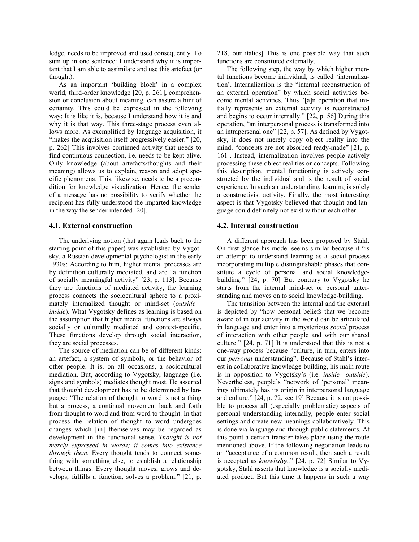ledge, needs to be improved and used consequently. To sum up in one sentence: I understand why it is important that I am able to assimilate and use this artefact (or thought).

As an important 'building block' in a complex world, third-order knowledge [20, p. 261], comprehension or conclusion about meaning, can assure a hint of certainty. This could be expressed in the following way: It is like it is, because I understand how it is and why it is that way. This three-stage process even allows more. As exemplified by language acquisition, it "makes the acquisition itself progressively easier." [20, p. 262] This involves continued activity that needs to find continuous connection, i.e. needs to be kept alive. Only knowledge (about artefacts/thoughts and their meaning) allows us to explain, reason and adopt specific phenomena. This, likewise, needs to be a precondition for knowledge visualization. Hence, the sender of a message has no possibility to verify whether the recipient has fully understood the imparted knowledge in the way the sender intended [20].

#### **4.1. External construction**

The underlying notion (that again leads back to the starting point of this paper) was established by Vygotsky, a Russian developmental psychologist in the early 1930s: According to him, higher mental processes are by definition culturally mediated, and are "a function of socially meaningful activity" [23, p. 113]. Because they are functions of mediated activity, the learning process connects the sociocultural sphere to a proximately internalized thought or mind-set (*outside inside*). What Vygotsky defines as learning is based on the assumption that higher mental functions are always socially or culturally mediated and context-specific. These functions develop through social interaction, they are social processes.

The source of mediation can be of different kinds: an artefact, a system of symbols, or the behavior of other people. It is, on all occasions, a sociocultural mediation. But, according to Vygotsky, language (i.e. signs and symbols) mediates thought most. He asserted that thought development has to be determined by language: "The relation of thought to word is not a thing but a process, a continual movement back and forth from thought to word and from word to thought. In that process the relation of thought to word undergoes changes which [in] themselves may be regarded as development in the functional sense. *Thought is not merely expressed in words; it comes into existence through them.* Every thought tends to connect something with something else, to establish a relationship between things. Every thought moves, grows and develops, fulfills a function, solves a problem." [21, p.

218, our italics] This is one possible way that such functions are constituted externally.

The following step, the way by which higher mental functions become individual, is called 'internalization'. Internalization is the "internal reconstruction of an external operation" by which social activities become mental activities. Thus "[a]n operation that initially represents an external activity is reconstructed and begins to occur internally." [22, p. 56] During this operation, "an interpersonal process is transformed into an intrapersonal one" [22, p. 57]. As defined by Vygotsky, it does not merely copy object reality into the mind, "concepts are not absorbed ready-made" [21, p. 161]. Instead, internalization involves people actively processing these object realities or concepts. Following this description, mental functioning is actively constructed by the individual and is the result of social experience. In such an understanding, learning is solely a constructivist activity. Finally, the most interesting aspect is that Vygotsky believed that thought and language could definitely not exist without each other.

# **4.2. Internal construction**

A different approach has been proposed by Stahl. On first glance his model seems similar because it "is an attempt to understand learning as a social process incorporating multiple distinguishable phases that constitute a cycle of personal and social knowledgebuilding." [24, p. 70] But contrary to Vygotsky he starts from the internal mind-set or personal unterstanding and moves on to social knowledge-building.

The transition between the internal and the external is depicted by "how personal beliefs that we become aware of in our activity in the world can be articulated in language and enter into a mysterious *social* process of interaction with other people and with our shared culture." [24, p. 71] It is understood that this is not a one-way process because "culture, in turn, enters into our *personal* understanding". Because of Stahl's interest in collaborative knowledge-building, his main route is in opposition to Vygotsky's (i.e. *inside—outside*). Nevertheless, people's "network of 'personal' meanings ultimately has its origin in interpersonal language and culture." [24, p. 72, see 19] Because it is not possible to process all (especially problematic) aspects of personal understanding internally, people enter social settings and create new meanings collaboratively. This is done via language and through public statements. At this point a certain transfer takes place using the route mentioned above. If the following negotiation leads to an "acceptance of a common result, then such a result is accepted as *knowledge*." [24, p. 72] Similar to Vygotsky, Stahl asserts that knowledge is a socially mediated product. But this time it happens in such a way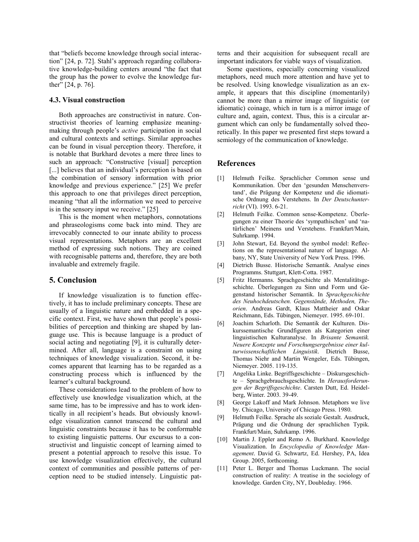that "beliefs become knowledge through social interaction" [24, p. 72]. Stahl's approach regarding collaborative knowledge-building centers around "the fact that the group has the power to evolve the knowledge further" [24, p. 76].

#### **4.3. Visual construction**

Both approaches are constructivist in nature. Constructivist theories of learning emphasize meaningmaking through people's *active* participation in social and cultural contexts and settings. Similar approaches can be found in visual perception theory. Therefore, it is notable that Burkhard devotes a mere three lines to such an approach: "Constructive [visual] perception [...] believes that an individual's perception is based on the combination of sensory information with prior knowledge and previous experience." [25] We prefer this approach to one that privileges direct perception, meaning "that all the information we need to perceive is in the sensory input we receive." [25]

This is the moment when metaphors, connotations and phraseologisms come back into mind. They are irrevocably connected to our innate ability to process visual representations. Metaphors are an excellent method of expressing such notions. They are coined with recognisable patterns and, therefore, they are both invaluable and extremely fragile.

## **5. Conclusion**

If knowledge visualization is to function effectively, it has to include preliminary concepts. These are usually of a linguistic nature and embedded in a specific context. First, we have shown that people's possibilities of perception and thinking are shaped by language use. This is because language is a product of social acting and negotiating [9], it is culturally determined. After all, language is a constraint on using techniques of knowledge visualization. Second, it becomes apparent that learning has to be regarded as a constructing process which is influenced by the learner's cultural background.

These considerations lead to the problem of how to effectively use knowledge visualization which, at the same time, has to be impressive and has to work identically in all recipient's heads. But obviously knowledge visualization cannot transcend the cultural and linguistic constraints because it has to be conformable to existing linguistic patterns. Our excursus to a constructivist and linguistic concept of learning aimed to present a potential approach to resolve this issue. To use knowledge visualization effectively, the cultural context of communities and possible patterns of perception need to be studied intensely. Linguistic patterns and their acquisition for subsequent recall are important indicators for viable ways of visualization.

Some questions, especially concerning visualized metaphors, need much more attention and have yet to be resolved. Using knowledge visualization as an example, it appears that this discipline (momentarily) cannot be more than a mirror image of linguistic (or idiomatic) coinage, which in turn is a mirror image of culture and, again, context. Thus, this is a circular argument which can only be fundamentally solved theoretically. In this paper we presented first steps toward a semiology of the communication of knowledge.

### **References**

- [1] Helmuth Feilke. Sprachlicher Common sense und Kommunikation. Über den 'gesunden Menschenverstand', die Prägung der Kompetenz und die idiomatische Ordnung des Verstehens. In *Der Deutschunterricht* (VI). 1993. 6-21.
- [2] Helmuth Feilke. Common sense-Kompetenz. Überlegungen zu einer Theorie des 'sympathischen' und 'natürlichen' Meinens und Verstehens. Frankfurt/Main, Suhrkamp. 1994.
- [3] John Stewart, Ed. Beyond the symbol model: Reflections on the representational nature of language. Albany, NY, State University of New York Press. 1996.
- [4] Dietrich Busse. Historische Semantik. Analyse eines Programms. Stuttgart, Klett-Cotta. 1987.
- [5] Fritz Hermanns. Sprachgeschichte als Mentalitätsgeschichte. Überlegungen zu Sinn und Form und Gegenstand historischer Semantik. In *Sprachgeschichte des Neuhochdeutschen. Gegenstände, Methoden, Theorien*. Andreas Gardt, Klaus Mattheier and Oskar Reichmann, Eds. Tübingen, Niemeyer. 1995. 69-101.
- [6] Joachim Scharloth. Die Semantik der Kulturen. Diskurssemantische Grundfiguren als Kategorien einer linguistischen Kulturanalyse. In *Brisante Semantik. Neuere Konzepte und Forschungsergebnisse einer kulturwissenschaftlichen Linguistik*. Dietrich Busse, Thomas Niehr and Martin Wengeler, Eds. Tübingen, Niemeyer. 2005. 119-135.
- [7] Angelika Linke. Begriffsgeschichte Diskursgeschichte – Sprachgebrauchsgeschichte. In *Herausforderungen der Begriffsgeschichte*. Carsten Dutt, Ed. Heidelberg, Winter. 2003. 39-49.
- [8] George Lakoff and Mark Johnson. Metaphors we live by. Chicago, University of Chicago Press. 1980.
- [9] Helmuth Feilke. Sprache als soziale Gestalt. Ausdruck, Prägung und die Ordnung der sprachlichen Typik. Frankfurt/Main, Suhrkamp. 1996.
- [10] Martin J. Eppler and Remo A. Burkhard. Knowledge Visualization. In *Encyclopedia of Knowledge Management*. David G. Schwartz, Ed. Hershey, PA, Idea Group. 2005, forthcoming.
- [11] Peter L. Berger and Thomas Luckmann. The social construction of reality: A treatise in the sociology of knowledge. Garden City, NY, Doubleday. 1966.